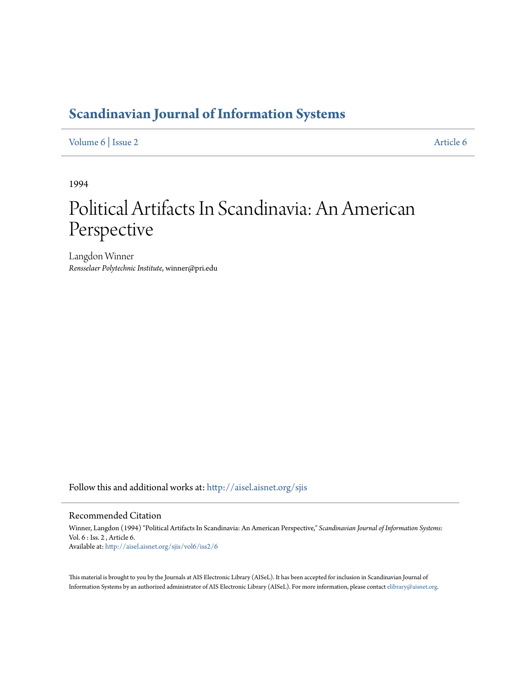## **[Scandinavian Journal of Information Systems](http://aisel.aisnet.org/sjis?utm_source=aisel.aisnet.org%2Fsjis%2Fvol6%2Fiss2%2F6&utm_medium=PDF&utm_campaign=PDFCoverPages)**

### [Volume 6](http://aisel.aisnet.org/sjis/vol6?utm_source=aisel.aisnet.org%2Fsjis%2Fvol6%2Fiss2%2F6&utm_medium=PDF&utm_campaign=PDFCoverPages) | [Issue 2](http://aisel.aisnet.org/sjis/vol6/iss2?utm_source=aisel.aisnet.org%2Fsjis%2Fvol6%2Fiss2%2F6&utm_medium=PDF&utm_campaign=PDFCoverPages) [Article 6](http://aisel.aisnet.org/sjis/vol6/iss2/6?utm_source=aisel.aisnet.org%2Fsjis%2Fvol6%2Fiss2%2F6&utm_medium=PDF&utm_campaign=PDFCoverPages)

1994

# Political Artifacts In Scandinavia: An American Perspective

Langdon Winner *Rensselaer Polytechnic Institute*, winner@pri.edu

Follow this and additional works at: [http://aisel.aisnet.org/sjis](http://aisel.aisnet.org/sjis?utm_source=aisel.aisnet.org%2Fsjis%2Fvol6%2Fiss2%2F6&utm_medium=PDF&utm_campaign=PDFCoverPages)

#### Recommended Citation

Winner, Langdon (1994) "Political Artifacts In Scandinavia: An American Perspective," *Scandinavian Journal of Information Systems*: Vol. 6 : Iss. 2 , Article 6. Available at: [http://aisel.aisnet.org/sjis/vol6/iss2/6](http://aisel.aisnet.org/sjis/vol6/iss2/6?utm_source=aisel.aisnet.org%2Fsjis%2Fvol6%2Fiss2%2F6&utm_medium=PDF&utm_campaign=PDFCoverPages)

This material is brought to you by the Journals at AIS Electronic Library (AISeL). It has been accepted for inclusion in Scandinavian Journal of Information Systems by an authorized administrator of AIS Electronic Library (AISeL). For more information, please contact [elibrary@aisnet.org.](mailto:elibrary@aisnet.org%3E)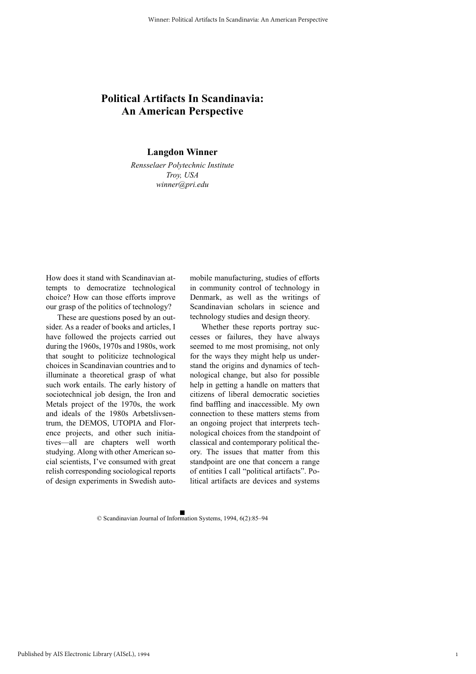### **Political Artifacts In Scandinavia: An American Perspective**

**Langdon Winner**

*Rensselaer Polytechnic Institute Troy, USA winner@pri.edu*

How does it stand with Scandinavian attempts to democratize technological choice? How can those efforts improve our grasp of the politics of technology?

These are questions posed by an outsider. As a reader of books and articles, I have followed the projects carried out during the 1960s, 1970s and 1980s, work that sought to politicize technological choices in Scandinavian countries and to illuminate a theoretical grasp of what such work entails. The early history of sociotechnical job design, the Iron and Metals project of the 1970s, the work and ideals of the 1980s Arbetslivsentrum, the DEMOS, UTOPIA and Florence projects, and other such initiatives—all are chapters well worth studying. Along with other American social scientists, I've consumed with great relish corresponding sociological reports of design experiments in Swedish automobile manufacturing, studies of efforts in community control of technology in Denmark, as well as the writings of Scandinavian scholars in science and technology studies and design theory.

Whether these reports portray successes or failures, they have always seemed to me most promising, not only for the ways they might help us understand the origins and dynamics of technological change, but also for possible help in getting a handle on matters that citizens of liberal democratic societies find baffling and inaccessible. My own connection to these matters stems from an ongoing project that interprets technological choices from the standpoint of classical and contemporary political theory. The issues that matter from this standpoint are one that concern a range of entities I call "political artifacts". Political artifacts are devices and systems

1

© Scandinavian Journal of Information Systems, 1994, 6(2):85–94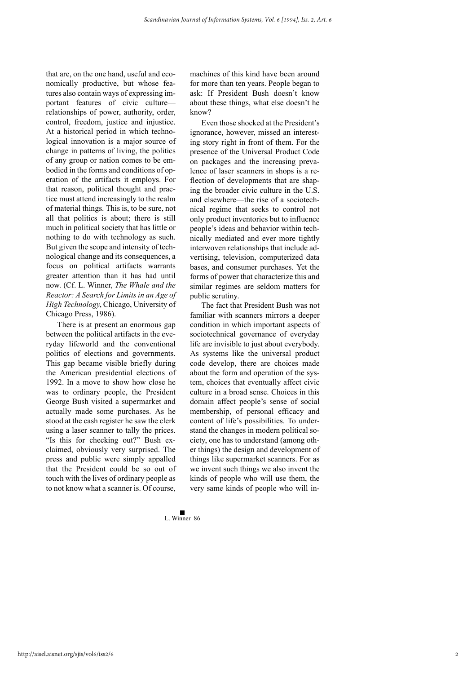that are, on the one hand, useful and economically productive, but whose features also contain ways of expressing important features of civic culture relationships of power, authority, order, control, freedom, justice and injustice. At a historical period in which technological innovation is a major source of change in patterns of living, the politics of any group or nation comes to be embodied in the forms and conditions of operation of the artifacts it employs. For that reason, political thought and practice must attend increasingly to the realm of material things. This is, to be sure, not all that politics is about; there is still much in political society that has little or nothing to do with technology as such. But given the scope and intensity of technological change and its consequences, a focus on political artifacts warrants greater attention than it has had until now. (Cf. L. Winner, *The Whale and the Reactor: A Search for Limits in an Age of High Technology*, Chicago, University of Chicago Press, 1986).

There is at present an enormous gap between the political artifacts in the everyday lifeworld and the conventional politics of elections and governments. This gap became visible briefly during the American presidential elections of 1992. In a move to show how close he was to ordinary people, the President George Bush visited a supermarket and actually made some purchases. As he stood at the cash register he saw the clerk using a laser scanner to tally the prices. "Is this for checking out?" Bush exclaimed, obviously very surprised. The press and public were simply appalled that the President could be so out of touch with the lives of ordinary people as to not know what a scanner is. Of course,

machines of this kind have been around for more than ten years. People began to ask: If President Bush doesn't know about these things, what else doesn't he know?

Even those shocked at the President's ignorance, however, missed an interesting story right in front of them. For the presence of the Universal Product Code on packages and the increasing prevalence of laser scanners in shops is a reflection of developments that are shaping the broader civic culture in the U.S. and elsewhere—the rise of a sociotechnical regime that seeks to control not only product inventories but to influence people's ideas and behavior within technically mediated and ever more tightly interwoven relationships that include advertising, television, computerized data bases, and consumer purchases. Yet the forms of power that characterize this and similar regimes are seldom matters for public scrutiny.

The fact that President Bush was not familiar with scanners mirrors a deeper condition in which important aspects of sociotechnical governance of everyday life are invisible to just about everybody. As systems like the universal product code develop, there are choices made about the form and operation of the system, choices that eventually affect civic culture in a broad sense. Choices in this domain affect people's sense of social membership, of personal efficacy and content of life's possibilities. To understand the changes in modern political society, one has to understand (among other things) the design and development of things like supermarket scanners. For as we invent such things we also invent the kinds of people who will use them, the very same kinds of people who will in-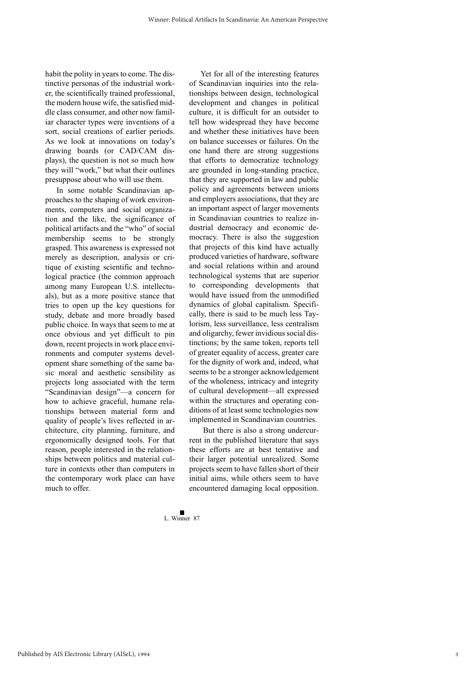habit the polity in years to come. The distinctive personas of the industrial worker, the scientifically trained professional, the modern house wife, the satisfied middle class consumer, and other now familiar character types were inventions of a sort, social creations of earlier periods. As we look at innovations on today's drawing boards (or CAD/CAM displays), the question is not so much how they will "work," but what their outlines presuppose about who will use them.

In some notable Scandinavian approaches to the shaping of work environments, computers and social organization and the like, the significance of political artifacts and the "who" of social membership seems to be strongly grasped. This awareness is expressed not merely as description, analysis or critique of existing scientific and technological practice (the common approach among many European U.S. intellectuals), but as a more positive stance that tries to open up the key questions for study, debate and more broadly based public choice. In ways that seem to me at once obvious and yet difficult to pin down, recent projects in work place environments and computer systems development share something of the same basic moral and aesthetic sensibility as projects long associated with the term "Scandinavian design"—a concern for how to achieve graceful, humane relationships between material form and quality of people's lives reflected in architecture, city planning, furniture, and ergonomically designed tools. For that reason, people interested in the relationships between politics and material culture in contexts other than computers in the contemporary work place can have much to offer.

Yet for all of the interesting features of Scandinavian inquiries into the relationships between design, technological development and changes in political culture, it is difficult for an outsider to tell how widespread they have become and whether these initiatives have been on balance successes or failures. On the one hand there are strong suggestions that efforts to democratize technology are grounded in long-standing practice, that they are supported in law and public policy and agreements between unions and employers associations, that they are an important aspect of larger movements in Scandinavian countries to realize industrial democracy and economic democracy. There is also the suggestion that projects of this kind have actually produced varieties of hardware, software and social relations within and around technological systems that are superior to corresponding developments that would have issued from the unmodified dynamics of global capitalism. Specifically, there is said to be much less Taylorism, less surveillance, less centralism and oligarchy, fewer invidious social distinctions; by the same token, reports tell of greater equality of access, greater care for the dignity of work and, indeed, what seems to be a stronger acknowledgement of the wholeness, intricacy and integrity of cultural development—all expressed within the structures and operating conditions of at least some technologies now implemented in Scandinavian countries.

 But there is also a strong undercurrent in the published literature that says these efforts are at best tentative and their larger potential unrealized. Some projects seem to have fallen short of their initial aims, while others seem to have encountered damaging local opposition.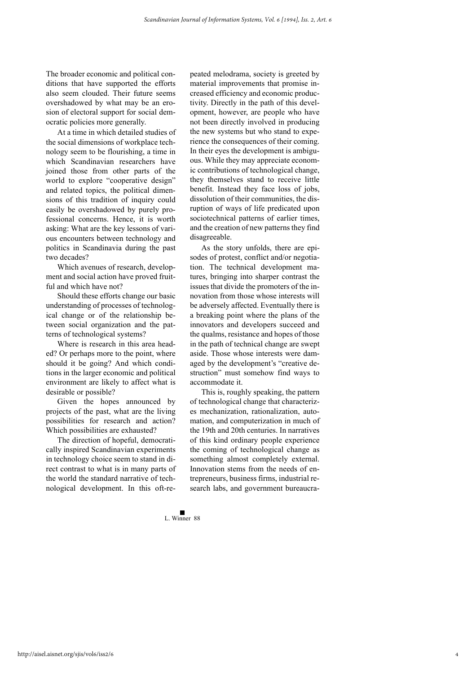The broader economic and political conditions that have supported the efforts also seem clouded. Their future seems overshadowed by what may be an erosion of electoral support for social democratic policies more generally.

At a time in which detailed studies of the social dimensions of workplace technology seem to be flourishing, a time in which Scandinavian researchers have joined those from other parts of the world to explore "cooperative design" and related topics, the political dimensions of this tradition of inquiry could easily be overshadowed by purely professional concerns. Hence, it is worth asking: What are the key lessons of various encounters between technology and politics in Scandinavia during the past two decades?

Which avenues of research, development and social action have proved fruitful and which have not?

Should these efforts change our basic understanding of processes of technological change or of the relationship between social organization and the patterns of technological systems?

Where is research in this area headed? Or perhaps more to the point, where should it be going? And which conditions in the larger economic and political environment are likely to affect what is desirable or possible?

Given the hopes announced by projects of the past, what are the living possibilities for research and action? Which possibilities are exhausted?

The direction of hopeful, democratically inspired Scandinavian experiments in technology choice seem to stand in direct contrast to what is in many parts of the world the standard narrative of technological development. In this oft-repeated melodrama, society is greeted by material improvements that promise increased efficiency and economic productivity. Directly in the path of this development, however, are people who have not been directly involved in producing the new systems but who stand to experience the consequences of their coming. In their eyes the development is ambiguous. While they may appreciate economic contributions of technological change, they themselves stand to receive little benefit. Instead they face loss of jobs, dissolution of their communities, the disruption of ways of life predicated upon sociotechnical patterns of earlier times, and the creation of new patterns they find disagreeable.

As the story unfolds, there are episodes of protest, conflict and/or negotiation. The technical development matures, bringing into sharper contrast the issues that divide the promoters of the innovation from those whose interests will be adversely affected. Eventually there is a breaking point where the plans of the innovators and developers succeed and the qualms, resistance and hopes of those in the path of technical change are swept aside. Those whose interests were damaged by the development's "creative destruction" must somehow find ways to accommodate it.

This is, roughly speaking, the pattern of technological change that characterizes mechanization, rationalization, automation, and computerization in much of the 19th and 20th centuries. In narratives of this kind ordinary people experience the coming of technological change as something almost completely external. Innovation stems from the needs of entrepreneurs, business firms, industrial research labs, and government bureaucra-

4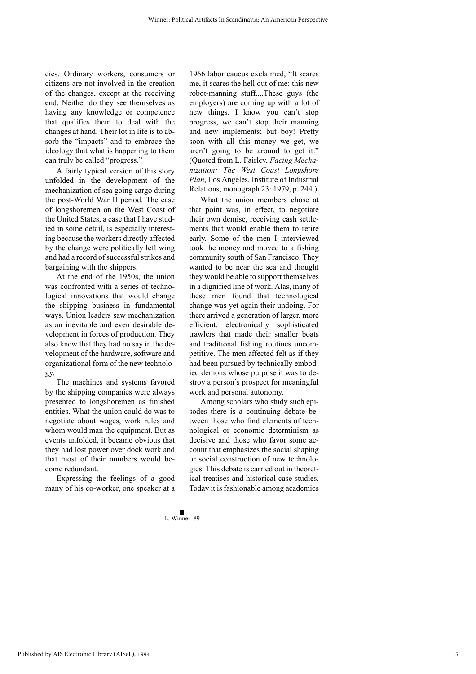cies. Ordinary workers, consumers or citizens are not involved in the creation of the changes, except at the receiving end. Neither do they see themselves as having any knowledge or competence that qualifies them to deal with the changes at hand. Their lot in life is to absorb the "impacts" and to embrace the ideology that what is happening to them can truly be called "progress."

A fairly typical version of this story unfolded in the development of the mechanization of sea going cargo during the post-World War II period. The case of longshoremen on the West Coast of the United States, a case that I have studied in some detail, is especially interesting because the workers directly affected by the change were politically left wing and had a record of successful strikes and bargaining with the shippers.

At the end of the 1950s, the union was confronted with a series of technological innovations that would change the shipping business in fundamental ways. Union leaders saw mechanization as an inevitable and even desirable development in forces of production. They also knew that they had no say in the development of the hardware, software and organizational form of the new technology.

The machines and systems favored by the shipping companies were always presented to longshoremen as finished entities. What the union could do was to negotiate about wages, work rules and whom would man the equipment. But as events unfolded, it became obvious that they had lost power over dock work and that most of their numbers would become redundant.

Expressing the feelings of a good many of his co-worker, one speaker at a 1966 labor caucus exclaimed, "It scares me, it scares the hell out of me: this new robot-manning stuff....These guys (the employers) are coming up with a lot of new things. I know you can't stop progress, we can't stop their manning and new implements; but boy! Pretty soon with all this money we get, we aren't going to be around to get it." (Quoted from L. Fairley, *Facing Mechanization: The West Coast Longshore Plan*, Los Angeles, Institute of Industrial Relations, monograph 23: 1979, p. 244.)

What the union members chose at that point was, in effect, to negotiate their own demise, receiving cash settlements that would enable them to retire early. Some of the men I interviewed took the money and moved to a fishing community south of San Francisco. They wanted to be near the sea and thought they would be able to support themselves in a dignified line of work. Alas, many of these men found that technological change was yet again their undoing. For there arrived a generation of larger, more efficient, electronically sophisticated trawlers that made their smaller boats and traditional fishing routines uncompetitive. The men affected felt as if they had been pursued by technically embodied demons whose purpose it was to destroy a person's prospect for meaningful work and personal autonomy.

Among scholars who study such episodes there is a continuing debate between those who find elements of technological or economic determinism as decisive and those who favor some account that emphasizes the social shaping or social construction of new technologies. This debate is carried out in theoretical treatises and historical case studies. Today it is fashionable among academics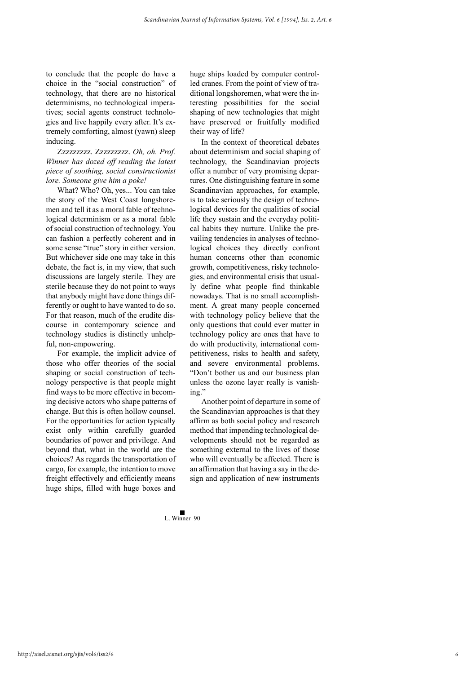to conclude that the people do have a choice in the "social construction" of technology, that there are no historical determinisms, no technological imperatives; social agents construct technologies and live happily every after. It's extremely comforting, almost (yawn) sleep inducing.

Zzzzzzzzz. Zzzzzzzzz. *Oh, oh. Prof. Winner has dozed off reading the latest piece of soothing, social constructionist lore. Someone give him a poke!*

What? Who? Oh, yes... You can take the story of the West Coast longshoremen and tell it as a moral fable of technological determinism or as a moral fable of social construction of technology. You can fashion a perfectly coherent and in some sense "true" story in either version. But whichever side one may take in this debate, the fact is, in my view, that such discussions are largely sterile. They are sterile because they do not point to ways that anybody might have done things differently or ought to have wanted to do so. For that reason, much of the erudite discourse in contemporary science and technology studies is distinctly unhelpful, non-empowering.

For example, the implicit advice of those who offer theories of the social shaping or social construction of technology perspective is that people might find ways to be more effective in becoming decisive actors who shape patterns of change. But this is often hollow counsel. For the opportunities for action typically exist only within carefully guarded boundaries of power and privilege. And beyond that, what in the world are the choices? As regards the transportation of cargo, for example, the intention to move freight effectively and efficiently means huge ships, filled with huge boxes and

huge ships loaded by computer controlled cranes. From the point of view of traditional longshoremen, what were the interesting possibilities for the social shaping of new technologies that might have preserved or fruitfully modified their way of life?

In the context of theoretical debates about determinism and social shaping of technology, the Scandinavian projects offer a number of very promising departures. One distinguishing feature in some Scandinavian approaches, for example, is to take seriously the design of technological devices for the qualities of social life they sustain and the everyday political habits they nurture. Unlike the prevailing tendencies in analyses of technological choices they directly confront human concerns other than economic growth, competitiveness, risky technologies, and environmental crisis that usually define what people find thinkable nowadays. That is no small accomplishment. A great many people concerned with technology policy believe that the only questions that could ever matter in technology policy are ones that have to do with productivity, international competitiveness, risks to health and safety, and severe environmental problems. "Don't bother us and our business plan unless the ozone layer really is vanishing."

Another point of departure in some of the Scandinavian approaches is that they affirm as both social policy and research method that impending technological developments should not be regarded as something external to the lives of those who will eventually be affected. There is an affirmation that having a say in the design and application of new instruments

6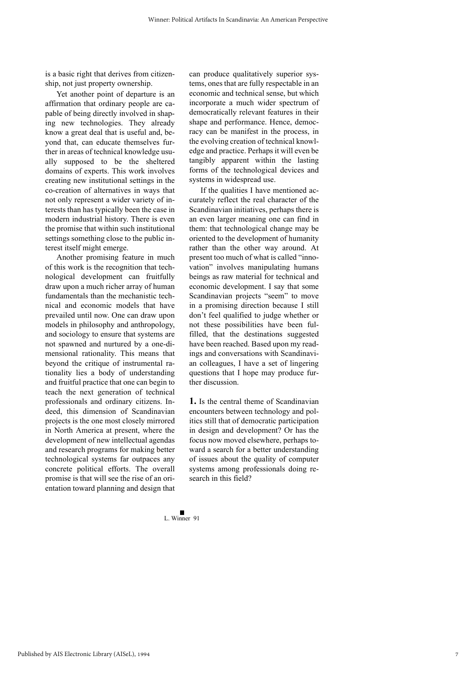is a basic right that derives from citizenship, not just property ownership.

Yet another point of departure is an affirmation that ordinary people are capable of being directly involved in shaping new technologies. They already know a great deal that is useful and, beyond that, can educate themselves further in areas of technical knowledge usually supposed to be the sheltered domains of experts. This work involves creating new institutional settings in the co-creation of alternatives in ways that not only represent a wider variety of interests than has typically been the case in modern industrial history. There is even the promise that within such institutional settings something close to the public interest itself might emerge.

Another promising feature in much of this work is the recognition that technological development can fruitfully draw upon a much richer array of human fundamentals than the mechanistic technical and economic models that have prevailed until now. One can draw upon models in philosophy and anthropology, and sociology to ensure that systems are not spawned and nurtured by a one-dimensional rationality. This means that beyond the critique of instrumental rationality lies a body of understanding and fruitful practice that one can begin to teach the next generation of technical professionals and ordinary citizens. Indeed, this dimension of Scandinavian projects is the one most closely mirrored in North America at present, where the development of new intellectual agendas and research programs for making better technological systems far outpaces any concrete political efforts. The overall promise is that will see the rise of an orientation toward planning and design that

can produce qualitatively superior systems, ones that are fully respectable in an economic and technical sense, but which incorporate a much wider spectrum of democratically relevant features in their shape and performance. Hence, democracy can be manifest in the process, in the evolving creation of technical knowledge and practice. Perhaps it will even be tangibly apparent within the lasting forms of the technological devices and systems in widespread use.

If the qualities I have mentioned accurately reflect the real character of the Scandinavian initiatives, perhaps there is an even larger meaning one can find in them: that technological change may be oriented to the development of humanity rather than the other way around. At present too much of what is called "innovation" involves manipulating humans beings as raw material for technical and economic development. I say that some Scandinavian projects "seem" to move in a promising direction because I still don't feel qualified to judge whether or not these possibilities have been fulfilled, that the destinations suggested have been reached. Based upon my readings and conversations with Scandinavian colleagues, I have a set of lingering questions that I hope may produce further discussion.

**1.** Is the central theme of Scandinavian encounters between technology and politics still that of democratic participation in design and development? Or has the focus now moved elsewhere, perhaps toward a search for a better understanding of issues about the quality of computer systems among professionals doing research in this field?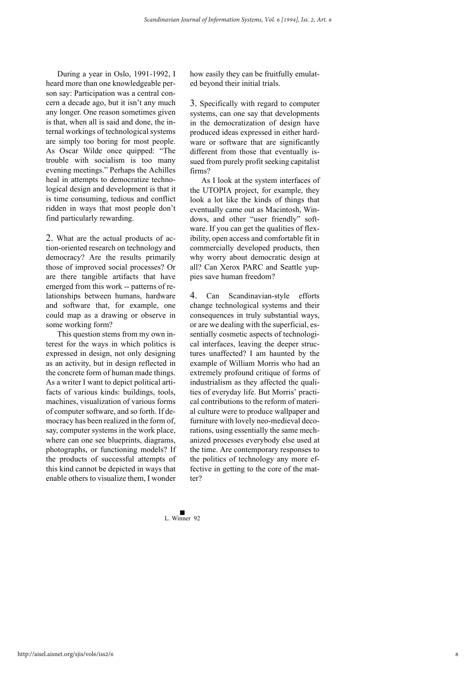During a year in Oslo, 1991-1992, I heard more than one knowledgeable person say: Participation was a central concern a decade ago, but it isn't any much any longer. One reason sometimes given is that, when all is said and done, the internal workings of technological systems are simply too boring for most people. As Oscar Wilde once quipped: "The trouble with socialism is too many evening meetings." Perhaps the Achilles heal in attempts to democratize technological design and development is that it is time consuming, tedious and conflict ridden in ways that most people don't find particularly rewarding.

2. What are the actual products of action-oriented research on technology and democracy? Are the results primarily those of improved social processes? Or are there tangible artifacts that have emerged from this work -- patterns of relationships between humans, hardware and software that, for example, one could map as a drawing or observe in some working form?

This question stems from my own interest for the ways in which politics is expressed in design, not only designing as an activity, but in design reflected in the concrete form of human made things. As a writer I want to depict political artifacts of various kinds: buildings, tools, machines, visualization of various forms of computer software, and so forth. If democracy has been realized in the form of, say, computer systems in the work place, where can one see blueprints, diagrams, photographs, or functioning models? If the products of successful attempts of this kind cannot be depicted in ways that enable others to visualize them, I wonder

how easily they can be fruitfully emulated beyond their initial trials.

3. Specifically with regard to computer systems, can one say that developments in the democratization of design have produced ideas expressed in either hardware or software that are significantly different from those that eventually issued from purely profit seeking capitalist firms?

As I look at the system interfaces of the UTOPIA project, for example, they look a lot like the kinds of things that eventually came out as Macintosh, Windows, and other "user friendly" software. If you can get the qualities of flexibility, open access and comfortable fit in commercially developed products, then why worry about democratic design at all? Can Xerox PARC and Seattle yuppies save human freedom?

4. Can Scandinavian-style efforts change technological systems and their consequences in truly substantial ways, or are we dealing with the superficial, essentially cosmetic aspects of technological interfaces, leaving the deeper structures unaffected? I am haunted by the example of William Morris who had an extremely profound critique of forms of industrialism as they affected the qualities of everyday life. But Morris' practical contributions to the reform of material culture were to produce wallpaper and furniture with lovely neo-medieval decorations, using essentially the same mechanized processes everybody else used at the time. Are contemporary responses to the politics of technology any more effective in getting to the core of the matter?

8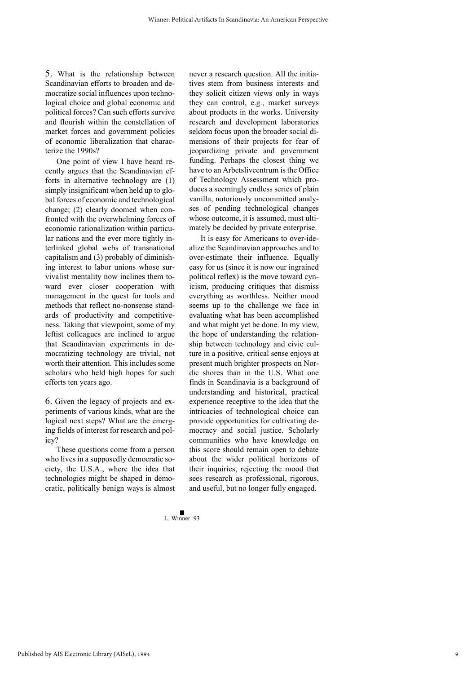5. What is the relationship between Scandinavian efforts to broaden and democratize social influences upon technological choice and global economic and political forces? Can such efforts survive and flourish within the constellation of market forces and government policies of economic liberalization that characterize the 1990s?

One point of view I have heard recently argues that the Scandinavian efforts in alternative technology are (1) simply insignificant when held up to global forces of economic and technological change; (2) clearly doomed when confronted with the overwhelming forces of economic rationalization within particular nations and the ever more tightly interlinked global webs of transnational capitalism and (3) probably of diminishing interest to labor unions whose survivalist mentality now inclines them toward ever closer cooperation with management in the quest for tools and methods that reflect no-nonsense standards of productivity and competitiveness. Taking that viewpoint, some of my leftist colleagues are inclined to argue that Scandinavian experiments in democratizing technology are trivial, not worth their attention. This includes some scholars who held high hopes for such efforts ten years ago.

6. Given the legacy of projects and experiments of various kinds, what are the logical next steps? What are the emerging fields of interest for research and policy?

These questions come from a person who lives in a supposedly democratic society, the U.S.A., where the idea that technologies might be shaped in democratic, politically benign ways is almost

never a research question. All the initiatives stem from business interests and they solicit citizen views only in ways they can control, e.g., market surveys about products in the works. University research and development laboratories seldom focus upon the broader social dimensions of their projects for fear of jeopardizing private and government funding. Perhaps the closest thing we have to an Arbetslivcentrum is the Office of Technology Assessment which produces a seemingly endless series of plain vanilla, notoriously uncommitted analyses of pending technological changes whose outcome, it is assumed, must ultimately be decided by private enterprise.

It is easy for Americans to over-idealize the Scandinavian approaches and to over-estimate their influence. Equally easy for us (since it is now our ingrained political reflex) is the move toward cynicism, producing critiques that dismiss everything as worthless. Neither mood seems up to the challenge we face in evaluating what has been accomplished and what might yet be done. In my view, the hope of understanding the relationship between technology and civic culture in a positive, critical sense enjoys at present much brighter prospects on Nordic shores than in the U.S. What one finds in Scandinavia is a background of understanding and historical, practical experience receptive to the idea that the intricacies of technological choice can provide opportunities for cultivating democracy and social justice. Scholarly communities who have knowledge on this score should remain open to debate about the wider political horizons of their inquiries, rejecting the mood that sees research as professional, rigorous, and useful, but no longer fully engaged.